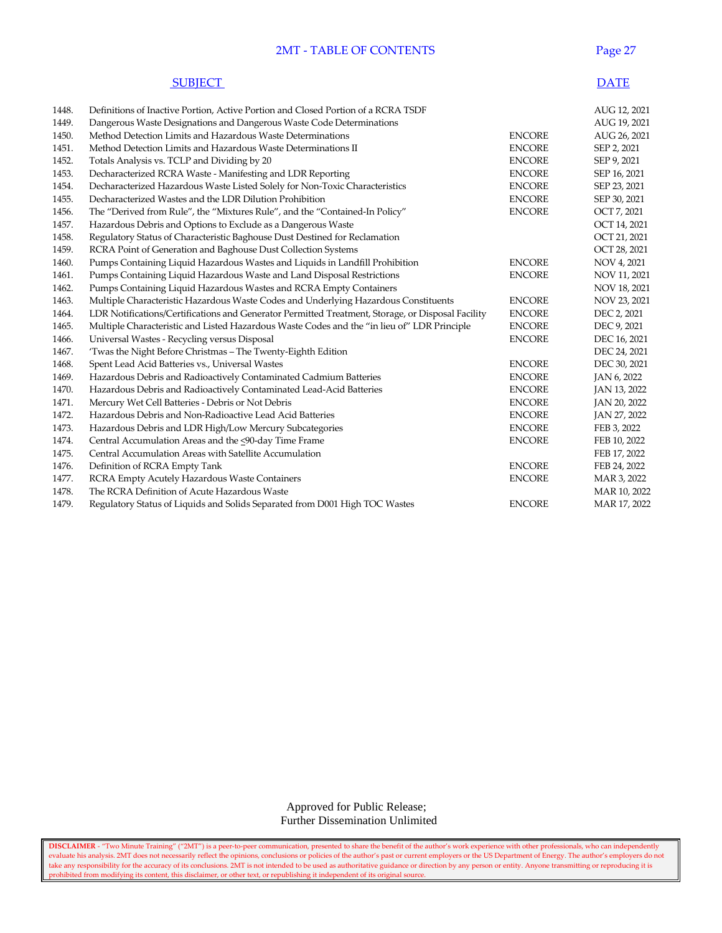#### 2MT - TABLE OF CONTENTS Page 27

|       | <b>SUBJECT</b>                                                                    |               | <b>DATE</b>  |
|-------|-----------------------------------------------------------------------------------|---------------|--------------|
| 1448. | Definitions of Inactive Portion, Active Portion and Closed Portion of a RCRA TSDF |               | AUG 12, 2021 |
| 1449. | Dangerous Waste Designations and Dangerous Waste Code Determinations              |               | AUG 19, 2021 |
| 1450. | Method Detection Limits and Hazardous Waste Determinations                        | <b>ENCORE</b> | AUG 26, 2021 |
| 1451. | Method Detection Limits and Hazardous Waste Determinations II                     | <b>ENCORE</b> | SEP 2, 2021  |
| 1452. | Totals Analysis vs. TCLP and Dividing by 20                                       | <b>ENCORE</b> | SEP 9, 2021  |
| 1453. | Decharacterized RCRA Waste - Manifesting and LDR Reporting                        | <b>ENCORE</b> | SEP 16, 2021 |
| 1454. | Decharacterized Hazardous Waste Listed Solely for Non-Toxic Characteristics       | <b>ENCORE</b> | SEP 23, 2021 |

| 1453. | Decharacterized RCRA Waste - Manifesting and LDR Reporting                                        | <b>ENCORE</b> | SEP 16, 2021 |
|-------|---------------------------------------------------------------------------------------------------|---------------|--------------|
| 1454. | Decharacterized Hazardous Waste Listed Solely for Non-Toxic Characteristics                       | <b>ENCORE</b> | SEP 23, 2021 |
| 1455. | Decharacterized Wastes and the LDR Dilution Prohibition                                           | <b>ENCORE</b> | SEP 30, 2021 |
| 1456. | The "Derived from Rule", the "Mixtures Rule", and the "Contained-In Policy"                       | <b>ENCORE</b> | OCT 7, 2021  |
| 1457. | Hazardous Debris and Options to Exclude as a Dangerous Waste                                      |               | OCT 14, 2021 |
| 1458. | Regulatory Status of Characteristic Baghouse Dust Destined for Reclamation                        |               | OCT 21, 2021 |
| 1459. | RCRA Point of Generation and Baghouse Dust Collection Systems                                     |               | OCT 28, 2021 |
| 1460. | Pumps Containing Liquid Hazardous Wastes and Liquids in Landfill Prohibition                      | <b>ENCORE</b> | NOV 4, 2021  |
| 1461. | Pumps Containing Liquid Hazardous Waste and Land Disposal Restrictions                            | <b>ENCORE</b> | NOV 11, 2021 |
| 1462. | Pumps Containing Liquid Hazardous Wastes and RCRA Empty Containers                                |               | NOV 18, 2021 |
| 1463. | Multiple Characteristic Hazardous Waste Codes and Underlying Hazardous Constituents               | <b>ENCORE</b> | NOV 23, 2021 |
| 1464. | LDR Notifications/Certifications and Generator Permitted Treatment, Storage, or Disposal Facility | <b>ENCORE</b> | DEC 2, 2021  |
| 1465. | Multiple Characteristic and Listed Hazardous Waste Codes and the "in lieu of" LDR Principle       | <b>ENCORE</b> | DEC 9, 2021  |
| 1466. | Universal Wastes - Recycling versus Disposal                                                      | <b>ENCORE</b> | DEC 16, 2021 |
| 1467. | 'Twas the Night Before Christmas - The Twenty-Eighth Edition                                      |               | DEC 24, 2021 |
| 1468. | Spent Lead Acid Batteries vs., Universal Wastes                                                   | <b>ENCORE</b> | DEC 30, 2021 |
| 1469. | Hazardous Debris and Radioactively Contaminated Cadmium Batteries                                 | <b>ENCORE</b> | JAN 6, 2022  |
| 1470. | Hazardous Debris and Radioactively Contaminated Lead-Acid Batteries                               | <b>ENCORE</b> | JAN 13, 2022 |
| 1471. | Mercury Wet Cell Batteries - Debris or Not Debris                                                 | <b>ENCORE</b> | JAN 20, 2022 |
| 1472. | Hazardous Debris and Non-Radioactive Lead Acid Batteries                                          | <b>ENCORE</b> | JAN 27, 2022 |
| 1473. | Hazardous Debris and LDR High/Low Mercury Subcategories                                           | <b>ENCORE</b> | FEB 3, 2022  |
| 1474. | Central Accumulation Areas and the <90-day Time Frame                                             | <b>ENCORE</b> | FEB 10, 2022 |
| 1475. | Central Accumulation Areas with Satellite Accumulation                                            |               | FEB 17, 2022 |
| 1476. | Definition of RCRA Empty Tank                                                                     | <b>ENCORE</b> | FEB 24, 2022 |
| 1477. | RCRA Empty Acutely Hazardous Waste Containers                                                     | <b>ENCORE</b> | MAR 3, 2022  |
| 1478. | The RCRA Definition of Acute Hazardous Waste                                                      |               | MAR 10, 2022 |
| 1479. | Regulatory Status of Liquids and Solids Separated from D001 High TOC Wastes                       | <b>ENCORE</b> | MAR 17, 2022 |
|       |                                                                                                   |               |              |

 Approved for Public Release; Further Dissemination Unlimited

**DISCLAIMER** - "Two Minute Training" ("2MT") is a peer-to-peer communication, presented to share the benefit of the author's work experience with other professionals, who can independently evaluate his analysis. 2MT does not necessarily reflect the opinions, conclusions or policies of the author's past or current employers or the US Department of Energy. The author's employers do not take any responsibility for the accuracy of its conclusions. 2MT is not intended to be used as authoritative guidance or direction by any person or entity. Anyone transmitting or reproducing it is prohibited from modifying its content, this disclaimer, or other text, or republishing it independent of its original source.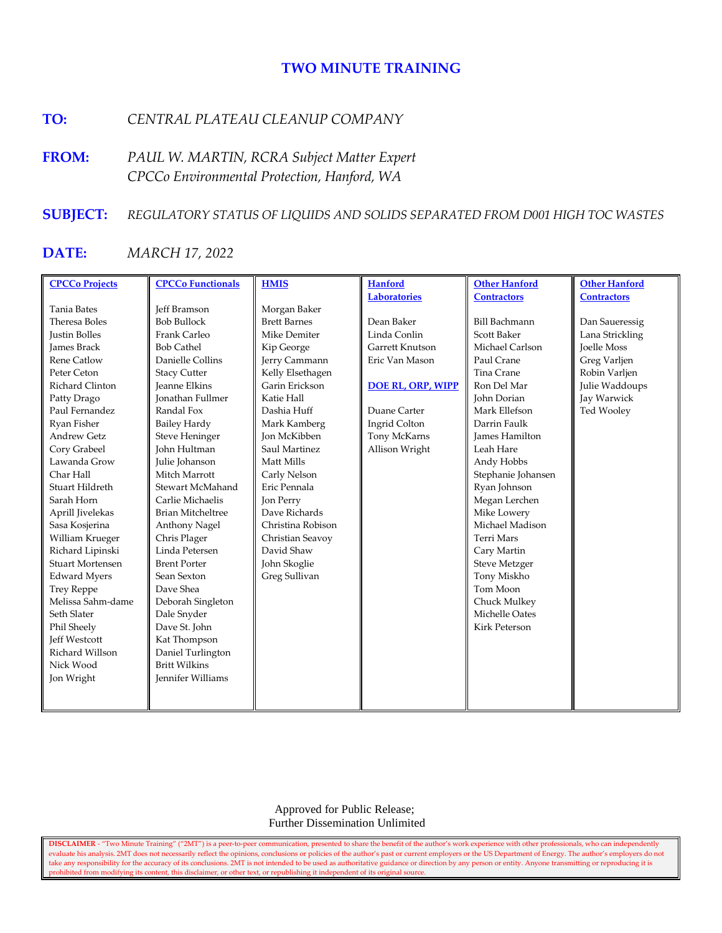# **TWO MINUTE TRAINING**

## **TO:** *CENTRAL PLATEAU CLEANUP COMPANY*

**FROM:** *PAUL W. MARTIN, RCRA Subject Matter Expert CPCCo Environmental Protection, Hanford, WA*

#### **SUBJECT:** *REGULATORY STATUS OF LIQUIDS AND SOLIDS SEPARATED FROM D001 HIGH TOC WASTES*

## **DATE:** *MARCH 17, 2022*

| <b>CPCCo Projects</b> | <b>CPCCo Functionals</b> | <b>HMIS</b>         | <b>Hanford</b>           | <b>Other Hanford</b> | <b>Other Hanford</b> |
|-----------------------|--------------------------|---------------------|--------------------------|----------------------|----------------------|
|                       |                          |                     | <b>Laboratories</b>      | <b>Contractors</b>   | <b>Contractors</b>   |
| Tania Bates           | <b>Jeff Bramson</b>      | Morgan Baker        |                          |                      |                      |
| Theresa Boles         | <b>Bob Bullock</b>       | <b>Brett Barnes</b> | Dean Baker               | <b>Bill Bachmann</b> | Dan Saueressig       |
| <b>Justin Bolles</b>  | Frank Carleo             | Mike Demiter        | Linda Conlin             | Scott Baker          | Lana Strickling      |
| <b>James Brack</b>    | <b>Bob Cathel</b>        | Kip George          | Garrett Knutson          | Michael Carlson      | Joelle Moss          |
| Rene Catlow           | Danielle Collins         | Jerry Cammann       | Eric Van Mason           | Paul Crane           | Greg Varljen         |
| Peter Ceton           | <b>Stacy Cutter</b>      | Kelly Elsethagen    |                          | Tina Crane           | Robin Varljen        |
| Richard Clinton       | <b>Jeanne Elkins</b>     | Garin Erickson      | <b>DOE RL, ORP, WIPP</b> | Ron Del Mar          | Julie Waddoups       |
| Patty Drago           | <b>Ionathan Fullmer</b>  | Katie Hall          |                          | <b>John Dorian</b>   | Jay Warwick          |
| Paul Fernandez        | Randal Fox               | Dashia Huff         | Duane Carter             | Mark Ellefson        | Ted Wooley           |
| Ryan Fisher           | <b>Bailey Hardy</b>      | Mark Kamberg        | Ingrid Colton            | Darrin Faulk         |                      |
| <b>Andrew Getz</b>    | <b>Steve Heninger</b>    | <b>Jon McKibben</b> | Tony McKarns             | James Hamilton       |                      |
| Cory Grabeel          | <b>John Hultman</b>      | Saul Martinez       | Allison Wright           | Leah Hare            |                      |
| Lawanda Grow          | Julie Johanson           | Matt Mills          |                          | Andy Hobbs           |                      |
| Char Hall             | Mitch Marrott            | Carly Nelson        |                          | Stephanie Johansen   |                      |
| Stuart Hildreth       | Stewart McMahand         | Eric Pennala        |                          | Ryan Johnson         |                      |
| Sarah Horn            | Carlie Michaelis         | Jon Perry           |                          | Megan Lerchen        |                      |
| Aprill Jivelekas      | <b>Brian Mitcheltree</b> | Dave Richards       |                          | Mike Lowery          |                      |
| Sasa Kosjerina        | <b>Anthony Nagel</b>     | Christina Robison   |                          | Michael Madison      |                      |
| William Krueger       | Chris Plager             | Christian Seavoy    |                          | Terri Mars           |                      |
| Richard Lipinski      | Linda Petersen           | David Shaw          |                          | Cary Martin          |                      |
| Stuart Mortensen      | <b>Brent Porter</b>      | John Skoglie        |                          | <b>Steve Metzger</b> |                      |
| <b>Edward Myers</b>   | Sean Sexton              | Greg Sullivan       |                          | Tony Miskho          |                      |
| <b>Trey Reppe</b>     | Dave Shea                |                     |                          | Tom Moon             |                      |
| Melissa Sahm-dame     | Deborah Singleton        |                     |                          | Chuck Mulkey         |                      |
| Seth Slater           | Dale Snyder              |                     |                          | Michelle Oates       |                      |
| Phil Sheely           | Dave St. John            |                     |                          | <b>Kirk Peterson</b> |                      |
| <b>Jeff Westcott</b>  | Kat Thompson             |                     |                          |                      |                      |
| Richard Willson       | Daniel Turlington        |                     |                          |                      |                      |
| Nick Wood             | <b>Britt Wilkins</b>     |                     |                          |                      |                      |
| Jon Wright            | Jennifer Williams        |                     |                          |                      |                      |
|                       |                          |                     |                          |                      |                      |
|                       |                          |                     |                          |                      |                      |

 Approved for Public Release; Further Dissemination Unlimited

**DISCLAIMER** - "Two Minute Training" ("2MT") is a peer-to-peer communication, presented to share the benefit of the author's work experience with other professionals, who can independently evaluate his analysis. 2MT does not necessarily reflect the opinions, conclusions or policies of the author's past or current employers or the US Department of Energy. The author's employers do not take any responsibility for the accuracy of its conclusions. 2MT is not intended to be used as authoritative guidance or direction by any person or entity. Anyone transmitting or reproducing it is prohibited from modifying its content, this disclaimer, or other text, or republishing it independent of its original source.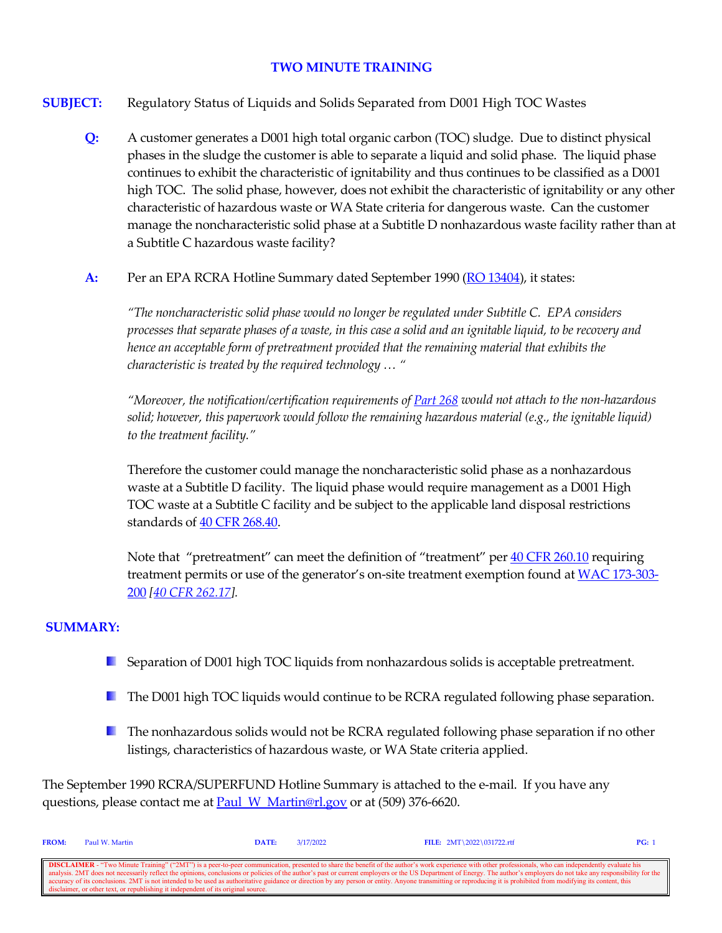## **TWO MINUTE TRAINING**

**SUBJECT:** Regulatory Status of Liquids and Solids Separated from D001 High TOC Wastes

- **Q:** A customer generates a D001 high total organic carbon (TOC) sludge. Due to distinct physical phases in the sludge the customer is able to separate a liquid and solid phase. The liquid phase continues to exhibit the characteristic of ignitability and thus continues to be classified as a D001 high TOC. The solid phase, however, does not exhibit the characteristic of ignitability or any other characteristic of hazardous waste or WA State criteria for dangerous waste. Can the customer manage the noncharacteristic solid phase at a Subtitle D nonhazardous waste facility rather than at a Subtitle C hazardous waste facility?
- A: Per an EPA RCRA Hotline Summary dated September 1990 [\(RO 13404\)](https://rcrapublic.epa.gov/rcraonline/details.xhtml?rcra=13404), it states:

*"The noncharacteristic solid phase would no longer be regulated under Subtitle C. EPA considers processes that separate phases of a waste, in this case a solid and an ignitable liquid, to be recovery and hence an acceptable form of pretreatment provided that the remaining material that exhibits the characteristic is treated by the required technology … "*

*"Moreover, the notification/certification requirements of [Part 268](https://www.govinfo.gov/content/pkg/CFR-2021-title40-vol29/xml/CFR-2021-title40-vol29-part268.xml) would not attach to the non-hazardous solid; however, this paperwork would follow the remaining hazardous material (e.g., the ignitable liquid) to the treatment facility."*

Therefore the customer could manage the noncharacteristic solid phase as a nonhazardous waste at a Subtitle D facility. The liquid phase would require management as a D001 High TOC waste at a Subtitle C facility and be subject to the applicable land disposal restrictions standards of  $40$  CFR 268.40.

Note that "pretreatment" can meet the definition of "treatment" per [40 CFR 260.10](https://www.govinfo.gov/content/pkg/CFR-2021-title40-vol28/xml/CFR-2021-title40-vol28-sec260-10.xml) requiring treatment permits or use of the generator's on-site treatment exemption found at [WAC 173-303-](https://app.leg.wa.gov/WAC/default.aspx?cite=173-303-200) [200](https://app.leg.wa.gov/WAC/default.aspx?cite=173-303-200) *[\[40 CFR 262.17\]](https://www.govinfo.gov/content/pkg/CFR-2021-title40-vol28/xml/CFR-2021-title40-vol28-sec262-17.xml).*

#### **SUMMARY:**

- **E** Separation of D001 high TOC liquids from nonhazardous solids is acceptable pretreatment.
- The D001 high TOC liquids would continue to be RCRA regulated following phase separation.
- **The nonhazardous solids would not be RCRA regulated following phase separation if no other** listings, characteristics of hazardous waste, or WA State criteria applied.

The September 1990 RCRA/SUPERFUND Hotline Summary is attached to the e-mail. If you have any questions, please contact me at **Paul\_W\_Martin@rl.gov** or at (509) 376-6620.

| <b>FROM:</b>                                                                                                                                                                                                             | Paul W. Martin                                                                    | $\mathbf{DATE:}$ | 3/17/2022 | FILE: $2MT \ 2022 \ 031722.rtf$                                                                                                                                                                                | PG: |
|--------------------------------------------------------------------------------------------------------------------------------------------------------------------------------------------------------------------------|-----------------------------------------------------------------------------------|------------------|-----------|----------------------------------------------------------------------------------------------------------------------------------------------------------------------------------------------------------------|-----|
|                                                                                                                                                                                                                          |                                                                                   |                  |           |                                                                                                                                                                                                                |     |
|                                                                                                                                                                                                                          |                                                                                   |                  |           | <b>DISCLAIMER</b> - "Two Minute Training" ("2MT") is a peer-to-peer communication, presented to share the benefit of the author's work experience with other professionals, who can independently evaluate his |     |
| analysis. 2MT does not necessarily reflect the opinions, conclusions or policies of the author's past or current employers or the US Department of Energy. The author's employers do not take any responsibility for the |                                                                                   |                  |           |                                                                                                                                                                                                                |     |
| ccuracy of its conclusions. 2MT is not intended to be used as authoritative guidance or direction by any person or entity. Anyone transmitting or reproducing it is prohibited from modifying its content, this          |                                                                                   |                  |           |                                                                                                                                                                                                                |     |
|                                                                                                                                                                                                                          | disclaimer, or other text, or republishing it independent of its original source. |                  |           |                                                                                                                                                                                                                |     |